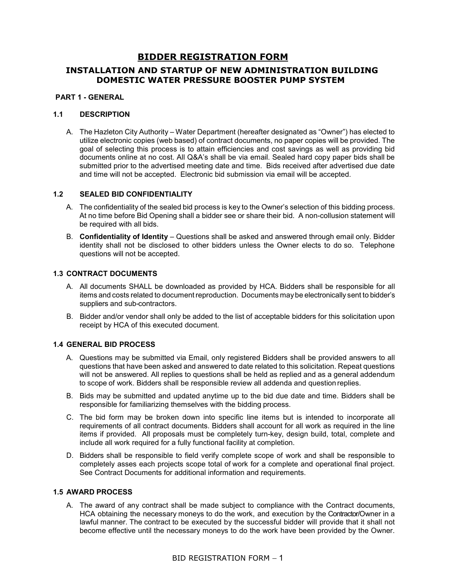# **BIDDER REGISTRATION FORM**

# **INSTALLATION AND STARTUP OF NEW ADMINISTRATION BUILDING DOMESTIC WATER PRESSURE BOOSTER PUMP SYSTEM**

# **PART 1 - GENERAL**

### **1.1 DESCRIPTION**

A. The Hazleton City Authority – Water Department (hereafter designated as "Owner") has elected to utilize electronic copies (web based) of contract documents, no paper copies will be provided. The goal of selecting this process is to attain efficiencies and cost savings as well as providing bid documents online at no cost. All Q&A's shall be via email. Sealed hard copy paper bids shall be submitted prior to the advertised meeting date and time. Bids received after advertised due date and time will not be accepted. Electronic bid submission via email will be accepted.

### **1.2 SEALED BID CONFIDENTIALITY**

- A. The confidentiality of the sealed bid process is key to the Owner's selection of this bidding process. At no time before Bid Opening shall a bidder see or share their bid. A non-collusion statement will be required with all bids.
- B. **Confidentiality of Identity**  Questions shall be asked and answered through email only. Bidder identity shall not be disclosed to other bidders unless the Owner elects to do so. Telephone questions will not be accepted.

# **1.3 CONTRACT DOCUMENTS**

- A. All documents SHALL be downloaded as provided by HCA. Bidders shall be responsible for all items and costs related to document reproduction. Documents maybe electronically sent to bidder's suppliers and sub-contractors.
- B. Bidder and/or vendor shall only be added to the list of acceptable bidders for this solicitation upon receipt by HCA of this executed document.

### **1.4 GENERAL BID PROCESS**

- A. Questions may be submitted via Email, only registered Bidders shall be provided answers to all questions that have been asked and answered to date related to this solicitation. Repeat questions will not be answered. All replies to questions shall be held as replied and as a general addendum to scope of work. Bidders shall be responsible review all addenda and question replies.
- B. Bids may be submitted and updated anytime up to the bid due date and time. Bidders shall be responsible for familiarizing themselves with the bidding process.
- C. The bid form may be broken down into specific line items but is intended to incorporate all requirements of all contract documents. Bidders shall account for all work as required in the line items if provided. All proposals must be completely turn-key, design build, total, complete and include all work required for a fully functional facility at completion.
- D. Bidders shall be responsible to field verify complete scope of work and shall be responsible to completely asses each projects scope total of work for a complete and operational final project. See Contract Documents for additional information and requirements.

### **1.5 AWARD PROCESS**

A. The award of any contract shall be made subject to compliance with the Contract documents, HCA obtaining the necessary moneys to do the work, and execution by the Contractor/Owner in a lawful manner. The contract to be executed by the successful bidder will provide that it shall not become effective until the necessary moneys to do the work have been provided by the Owner.